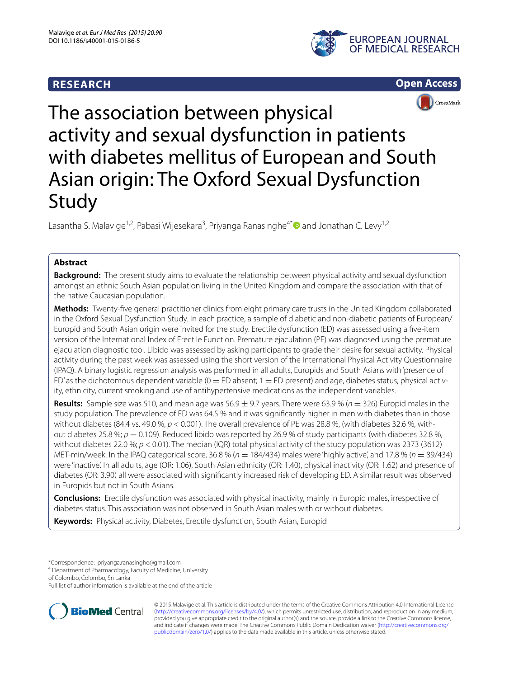# **RESEARCH**







# The association between physical activity and sexual dysfunction in patients with diabetes mellitus of European and South Asian origin: The Oxford Sexual Dysfunction Study

Lasantha S. Malavige<sup>1,2</sup>, Pabasi Wijesekara<sup>3</sup>, Priyanga Ranasinghe<sup>4\*</sup> **D** and Jonathan C. Levy<sup>1,2</sup>

# **Abstract**

**Background:** The present study aims to evaluate the relationship between physical activity and sexual dysfunction amongst an ethnic South Asian population living in the United Kingdom and compare the association with that of the native Caucasian population.

**Methods:** Twenty-five general practitioner clinics from eight primary care trusts in the United Kingdom collaborated in the Oxford Sexual Dysfunction Study. In each practice, a sample of diabetic and non-diabetic patients of European/ Europid and South Asian origin were invited for the study. Erectile dysfunction (ED) was assessed using a five-item version of the International Index of Erectile Function. Premature ejaculation (PE) was diagnosed using the premature ejaculation diagnostic tool. Libido was assessed by asking participants to grade their desire for sexual activity. Physical activity during the past week was assessed using the short version of the International Physical Activity Questionnaire (IPAQ). A binary logistic regression analysis was performed in all adults, Europids and South Asians with 'presence of ED' as the dichotomous dependent variable ( $0 = ED$  absent;  $1 = ED$  present) and age, diabetes status, physical activity, ethnicity, current smoking and use of antihypertensive medications as the independent variables.

**Results:** Sample size was 510, and mean age was 56.9 ± 9.7 years. There were 63.9 % (*n* = 326) Europid males in the study population. The prevalence of ED was 64.5 % and it was significantly higher in men with diabetes than in those without diabetes (84.4 vs. 49.0 %,  $p < 0.001$ ). The overall prevalence of PE was 28.8 %, (with diabetes 32.6 %, without diabetes 25.8 %;  $p = 0.109$ ). Reduced libido was reported by 26.9 % of study participants (with diabetes 32.8 %, without diabetes 22.0 %; *p* < 0.01). The median (IQR) total physical activity of the study population was 2373 (3612) MET-min/week. In the IPAQ categorical score, 36.8 % (*n* = 184/434) males were 'highly active', and 17.8 % (*n* = 89/434) were 'inactive'. In all adults, age (OR: 1.06), South Asian ethnicity (OR: 1.40), physical inactivity (OR: 1.62) and presence of diabetes (OR: 3.90) all were associated with significantly increased risk of developing ED. A similar result was observed in Europids but not in South Asians.

**Conclusions:** Erectile dysfunction was associated with physical inactivity, mainly in Europid males, irrespective of diabetes status. This association was not observed in South Asian males with or without diabetes.

**Keywords:** Physical activity, Diabetes, Erectile dysfunction, South Asian, Europid

\*Correspondence: priyanga.ranasinghe@gmail.com

of Colombo, Colombo, Sri Lanka

Full list of author information is available at the end of the article



© 2015 Malavige et al. This article is distributed under the terms of the Creative Commons Attribution 4.0 International License [\(http://creativecommons.org/licenses/by/4.0/\)](http://creativecommons.org/licenses/by/4.0/), which permits unrestricted use, distribution, and reproduction in any medium, provided you give appropriate credit to the original author(s) and the source, provide a link to the Creative Commons license, and indicate if changes were made. The Creative Commons Public Domain Dedication waiver ([http://creativecommons.org/](http://creativecommons.org/publicdomain/zero/1.0/) [publicdomain/zero/1.0/](http://creativecommons.org/publicdomain/zero/1.0/)) applies to the data made available in this article, unless otherwise stated.

<sup>4</sup> Department of Pharmacology, Faculty of Medicine, University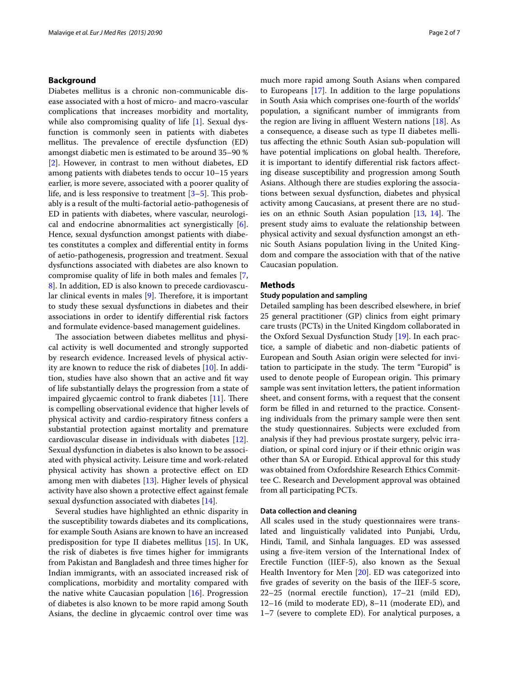### **Background**

Diabetes mellitus is a chronic non-communicable disease associated with a host of micro- and macro-vascular complications that increases morbidity and mortality, while also compromising quality of life [[1\]](#page-5-0). Sexual dysfunction is commonly seen in patients with diabetes mellitus. The prevalence of erectile dysfunction (ED) amongst diabetic men is estimated to be around 35–90 % [[2\]](#page-5-1). However, in contrast to men without diabetes, ED among patients with diabetes tends to occur 10–15 years earlier, is more severe, associated with a poorer quality of life, and is less responsive to treatment [\[3](#page-5-2)[–5](#page-5-3)]. This probably is a result of the multi-factorial aetio-pathogenesis of ED in patients with diabetes, where vascular, neurological and endocrine abnormalities act synergistically [\[6](#page-5-4)]. Hence, sexual dysfunction amongst patients with diabetes constitutes a complex and differential entity in forms of aetio-pathogenesis, progression and treatment. Sexual dysfunctions associated with diabetes are also known to compromise quality of life in both males and females [\[7](#page-5-5), [8\]](#page-5-6). In addition, ED is also known to precede cardiovascular clinical events in males [[9](#page-5-7)]. Therefore, it is important to study these sexual dysfunctions in diabetes and their associations in order to identify differential risk factors and formulate evidence-based management guidelines.

The association between diabetes mellitus and physical activity is well documented and strongly supported by research evidence. Increased levels of physical activity are known to reduce the risk of diabetes [\[10\]](#page-5-8). In addition, studies have also shown that an active and fit way of life substantially delays the progression from a state of impaired glycaemic control to frank diabetes [[11\]](#page-5-9). There is compelling observational evidence that higher levels of physical activity and cardio-respiratory fitness confers a substantial protection against mortality and premature cardiovascular disease in individuals with diabetes [\[12](#page-5-10)]. Sexual dysfunction in diabetes is also known to be associated with physical activity. Leisure time and work-related physical activity has shown a protective effect on ED among men with diabetes [[13](#page-5-11)]. Higher levels of physical activity have also shown a protective effect against female sexual dysfunction associated with diabetes [\[14](#page-5-12)].

Several studies have highlighted an ethnic disparity in the susceptibility towards diabetes and its complications, for example South Asians are known to have an increased predisposition for type II diabetes mellitus [[15\]](#page-5-13). In UK, the risk of diabetes is five times higher for immigrants from Pakistan and Bangladesh and three times higher for Indian immigrants, with an associated increased risk of complications, morbidity and mortality compared with the native white Caucasian population  $[16]$  $[16]$  $[16]$ . Progression of diabetes is also known to be more rapid among South Asians, the decline in glycaemic control over time was

much more rapid among South Asians when compared to Europeans [\[17](#page-6-1)]. In addition to the large populations in South Asia which comprises one-fourth of the worlds' population, a significant number of immigrants from the region are living in affluent Western nations [[18](#page-6-2)]. As a consequence, a disease such as type II diabetes mellitus affecting the ethnic South Asian sub-population will have potential implications on global health. Therefore, it is important to identify differential risk factors affecting disease susceptibility and progression among South Asians. Although there are studies exploring the associations between sexual dysfunction, diabetes and physical activity among Caucasians, at present there are no studies on an ethnic South Asian population [\[13](#page-5-11), [14](#page-5-12)]. The present study aims to evaluate the relationship between physical activity and sexual dysfunction amongst an ethnic South Asians population living in the United Kingdom and compare the association with that of the native Caucasian population.

# **Methods**

#### **Study population and sampling**

Detailed sampling has been described elsewhere, in brief 25 general practitioner (GP) clinics from eight primary care trusts (PCTs) in the United Kingdom collaborated in the Oxford Sexual Dysfunction Study [[19](#page-6-3)]. In each practice, a sample of diabetic and non-diabetic patients of European and South Asian origin were selected for invitation to participate in the study. The term "Europid" is used to denote people of European origin. This primary sample was sent invitation letters, the patient information sheet, and consent forms, with a request that the consent form be filled in and returned to the practice. Consenting individuals from the primary sample were then sent the study questionnaires. Subjects were excluded from analysis if they had previous prostate surgery, pelvic irradiation, or spinal cord injury or if their ethnic origin was other than SA or Europid. Ethical approval for this study was obtained from Oxfordshire Research Ethics Committee C. Research and Development approval was obtained from all participating PCTs.

#### **Data collection and cleaning**

All scales used in the study questionnaires were translated and linguistically validated into Punjabi, Urdu, Hindi, Tamil, and Sinhala languages. ED was assessed using a five-item version of the International Index of Erectile Function (IIEF-5), also known as the Sexual Health Inventory for Men [[20\]](#page-6-4). ED was categorized into five grades of severity on the basis of the IIEF-5 score, 22–25 (normal erectile function), 17–21 (mild ED), 12–16 (mild to moderate ED), 8–11 (moderate ED), and 1–7 (severe to complete ED). For analytical purposes, a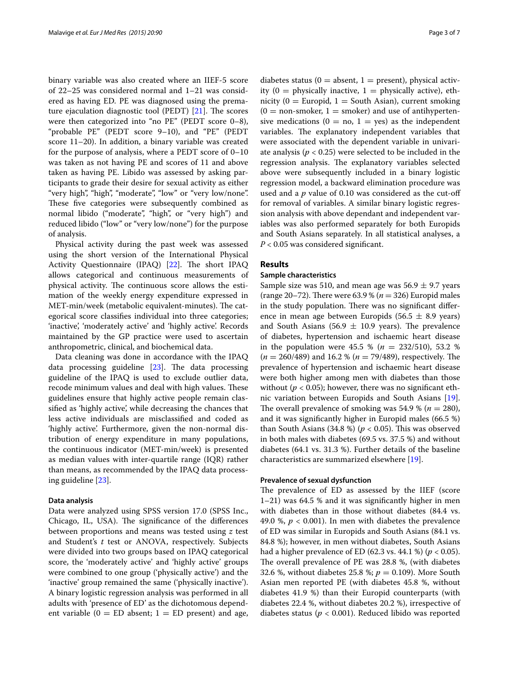binary variable was also created where an IIEF-5 score of 22–25 was considered normal and 1–21 was considered as having ED. PE was diagnosed using the premature ejaculation diagnostic tool (PEDT) [[21\]](#page-6-5). The scores were then categorized into "no PE" (PEDT score 0–8), "probable PE" (PEDT score 9–10), and "PE" (PEDT score 11–20). In addition, a binary variable was created for the purpose of analysis, where a PEDT score of 0–10 was taken as not having PE and scores of 11 and above taken as having PE. Libido was assessed by asking participants to grade their desire for sexual activity as either "very high", "high", "moderate", "low" or "very low/none". These five categories were subsequently combined as normal libido ("moderate", "high", or "very high") and reduced libido ("low" or "very low/none") for the purpose of analysis.

Physical activity during the past week was assessed using the short version of the International Physical Activity Questionnaire (IPAQ) [[22\]](#page-6-6). The short IPAQ allows categorical and continuous measurements of physical activity. The continuous score allows the estimation of the weekly energy expenditure expressed in MET-min/week (metabolic equivalent-minutes). The categorical score classifies individual into three categories; 'inactive', 'moderately active' and 'highly active'. Records maintained by the GP practice were used to ascertain anthropometric, clinical, and biochemical data.

Data cleaning was done in accordance with the IPAQ data processing guideline [[23](#page-6-7)]. The data processing guideline of the IPAQ is used to exclude outlier data, recode minimum values and deal with high values. These guidelines ensure that highly active people remain classified as 'highly active', while decreasing the chances that less active individuals are misclassified and coded as 'highly active'. Furthermore, given the non-normal distribution of energy expenditure in many populations, the continuous indicator (MET-min/week) is presented as median values with inter-quartile range (IQR) rather than means, as recommended by the IPAQ data processing guideline [[23\]](#page-6-7).

#### **Data analysis**

Data were analyzed using SPSS version 17.0 (SPSS Inc., Chicago, IL, USA). The significance of the differences between proportions and means was tested using *z* test and Student's *t* test or ANOVA, respectively. Subjects were divided into two groups based on IPAQ categorical score, the 'moderately active' and 'highly active' groups were combined to one group ('physically active') and the 'inactive' group remained the same ('physically inactive'). A binary logistic regression analysis was performed in all adults with 'presence of ED' as the dichotomous dependent variable ( $0 = ED$  absent;  $1 = ED$  present) and age,

diabetes status ( $0 =$  absent,  $1 =$  present), physical activity ( $0 =$  physically inactive,  $1 =$  physically active), ethnicity ( $0 =$  Europid,  $1 =$  South Asian), current smoking  $(0 =$  non-smoker,  $1 =$  smoker) and use of antihypertensive medications ( $0 = no$ ,  $1 = yes$ ) as the independent variables. The explanatory independent variables that were associated with the dependent variable in univariate analysis  $(p < 0.25)$  were selected to be included in the regression analysis. The explanatory variables selected above were subsequently included in a binary logistic regression model, a backward elimination procedure was used and a *p* value of 0.10 was considered as the cut-off for removal of variables. A similar binary logistic regression analysis with above dependant and independent variables was also performed separately for both Europids and South Asians separately. In all statistical analyses, a *P* < 0.05 was considered significant.

## **Results**

#### **Sample characteristics**

Sample size was 510, and mean age was  $56.9 \pm 9.7$  years (range 20–72). There were 63.9 % (*n* = 326) Europid males in the study population. There was no significant difference in mean age between Europids (56.5  $\pm$  8.9 years) and South Asians (56.9  $\pm$  10.9 years). The prevalence of diabetes, hypertension and ischaemic heart disease in the population were 45.5 % ( $n = 232/510$ ), 53.2 % (*n* = 260/489) and 16.2 % (*n* = 79/489), respectively. The prevalence of hypertension and ischaemic heart disease were both higher among men with diabetes than those without ( $p < 0.05$ ); however, there was no significant ethnic variation between Europids and South Asians [\[19](#page-6-3)]. The overall prevalence of smoking was 54.9 % ( $n = 280$ ), and it was significantly higher in Europid males (66.5 %) than South Asians  $(34.8 \%) (p < 0.05)$ . This was observed in both males with diabetes (69.5 vs. 37.5 %) and without diabetes (64.1 vs. 31.3 %). Further details of the baseline characteristics are summarized elsewhere [\[19\]](#page-6-3).

#### **Prevalence of sexual dysfunction**

The prevalence of ED as assessed by the IIEF (score 1–21) was 64.5 % and it was significantly higher in men with diabetes than in those without diabetes (84.4 vs. 49.0 %,  $p < 0.001$ ). In men with diabetes the prevalence of ED was similar in Europids and South Asians (84.1 vs. 84.8 %); however, in men without diabetes, South Asians had a higher prevalence of ED (62.3 vs. 44.1 %) (*p* < 0.05). The overall prevalence of PE was 28.8 %, (with diabetes 32.6 %, without diabetes 25.8 %; *p* = 0.109). More South Asian men reported PE (with diabetes 45.8 %, without diabetes 41.9 %) than their Europid counterparts (with diabetes 22.4 %, without diabetes 20.2 %), irrespective of diabetes status (*p* < 0.001). Reduced libido was reported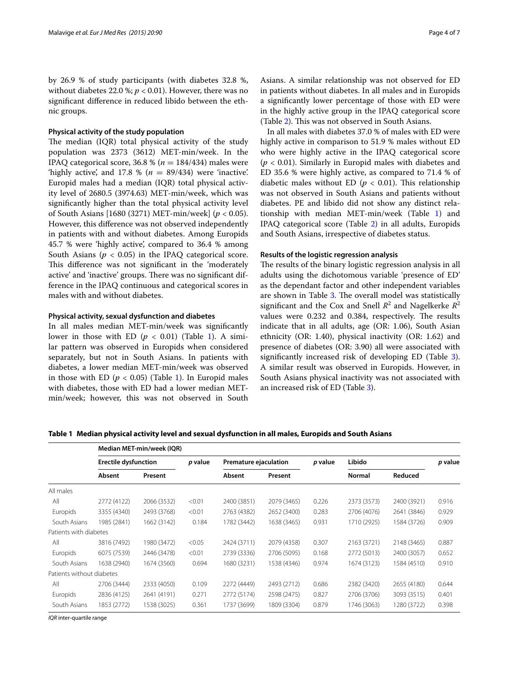by 26.9 % of study participants (with diabetes 32.8 %, without diabetes 22.0 %;  $p < 0.01$ ). However, there was no significant difference in reduced libido between the ethnic groups.

#### **Physical activity of the study population**

The median (IQR) total physical activity of the study population was 2373 (3612) MET-min/week. In the IPAQ categorical score, 36.8 % ( $n = 184/434$ ) males were 'highly active', and 17.8 % ( $n = 89/434$ ) were 'inactive'. Europid males had a median (IQR) total physical activity level of 2680.5 (3974.63) MET-min/week, which was significantly higher than the total physical activity level of South Asians [1680 (3271) MET-min/week] (*p* < 0.05). However, this difference was not observed independently in patients with and without diabetes. Among Europids 45.7 % were 'highly active', compared to 36.4 % among South Asians ( $p < 0.05$ ) in the IPAQ categorical score. This difference was not significant in the 'moderately active' and 'inactive' groups. There was no significant difference in the IPAQ continuous and categorical scores in males with and without diabetes.

## **Physical activity, sexual dysfunction and diabetes**

In all males median MET-min/week was significantly lower in those with ED  $(p < 0.01)$  $(p < 0.01)$  (Table 1). A similar pattern was observed in Europids when considered separately, but not in South Asians. In patients with diabetes, a lower median MET-min/week was observed in those with ED ( $p < 0.05$ ) (Table [1\)](#page-3-0). In Europid males with diabetes, those with ED had a lower median METmin/week; however, this was not observed in South

Asians. A similar relationship was not observed for ED in patients without diabetes. In all males and in Europids a significantly lower percentage of those with ED were in the highly active group in the IPAQ categorical score (Table [2\)](#page-4-0). This was not observed in South Asians.

In all males with diabetes 37.0 % of males with ED were highly active in comparison to 51.9 % males without ED who were highly active in the IPAQ categorical score (*p* < 0.01). Similarly in Europid males with diabetes and ED 35.6 % were highly active, as compared to 71.4 % of diabetic males without ED ( $p < 0.01$ ). This relationship was not observed in South Asians and patients without diabetes. PE and libido did not show any distinct relationship with median MET-min/week (Table [1\)](#page-3-0) and IPAQ categorical score (Table [2\)](#page-4-0) in all adults, Europids and South Asians, irrespective of diabetes status.

#### **Results of the logistic regression analysis**

The results of the binary logistic regression analysis in all adults using the dichotomous variable 'presence of ED' as the dependant factor and other independent variables are shown in Table [3](#page-4-1). The overall model was statistically significant and the Cox and Snell  $R^2$  and Nagelkerke  $R^2$ values were 0.232 and 0.384, respectively. The results indicate that in all adults, age (OR: 1.06), South Asian ethnicity (OR: 1.40), physical inactivity (OR: 1.62) and presence of diabetes (OR: 3.90) all were associated with significantly increased risk of developing ED (Table [3](#page-4-1)). A similar result was observed in Europids. However, in South Asians physical inactivity was not associated with an increased risk of ED (Table [3](#page-4-1)).

<span id="page-3-0"></span>

|  |  |  |  | Table 1 Median physical activity level and sexual dysfunction in all males, Europids and South Asians |  |
|--|--|--|--|-------------------------------------------------------------------------------------------------------|--|
|--|--|--|--|-------------------------------------------------------------------------------------------------------|--|

|                           | Median MET-min/week (IQR)   |             |         |                       |             |         |               |             |         |
|---------------------------|-----------------------------|-------------|---------|-----------------------|-------------|---------|---------------|-------------|---------|
|                           | <b>Erectile dysfunction</b> |             | p value | Premature ejaculation |             | p value | Libido        |             | p value |
|                           | Absent                      | Present     |         | Absent                | Present     |         | <b>Normal</b> | Reduced     |         |
| All males                 |                             |             |         |                       |             |         |               |             |         |
| All                       | 2772 (4122)                 | 2066 (3532) | < 0.01  | 2400 (3851)           | 2079 (3465) | 0.226   | 2373 (3573)   | 2400 (3921) | 0.916   |
| Europids                  | 3355 (4340)                 | 2493 (3768) | < 0.01  | 2763 (4382)           | 2652 (3400) | 0.283   | 2706 (4076)   | 2641 (3846) | 0.929   |
| South Asians              | 1985 (2841)                 | 1662 (3142) | 0.184   | 1782 (3442)           | 1638 (3465) | 0.931   | 1710 (2925)   | 1584 (3726) | 0.909   |
| Patients with diabetes    |                             |             |         |                       |             |         |               |             |         |
| All                       | 3816 (7492)                 | 1980 (3472) | < 0.05  | 2424 (3711)           | 2079 (4358) | 0.307   | 2163 (3721)   | 2148 (3465) | 0.887   |
| Europids                  | 6075 (7539)                 | 2446 (3478) | < 0.01  | 2739 (3336)           | 2706 (5095) | 0.168   | 2772 (5013)   | 2400 (3057) | 0.652   |
| South Asians              | 1638 (2940)                 | 1674 (3560) | 0.694   | 1680 (3231)           | 1538 (4346) | 0.974   | 1674 (3123)   | 1584 (4510) | 0.910   |
| Patients without diabetes |                             |             |         |                       |             |         |               |             |         |
| All                       | 2706 (3444)                 | 2333 (4050) | 0.109   | 2272 (4449)           | 2493 (2712) | 0.686   | 2382 (3420)   | 2655 (4180) | 0.644   |
| Europids                  | 2836 (4125)                 | 2641 (4191) | 0.271   | 2772 (5174)           | 2598 (2475) | 0.827   | 2706 (3706)   | 3093 (3515) | 0.401   |
| South Asians              | 1853 (2772)                 | 1538 (3025) | 0.361   | 1737 (3699)           | 1809 (3304) | 0.879   | 1746 (3063)   | 1280 (3722) | 0.398   |

*IQR* inter-quartile range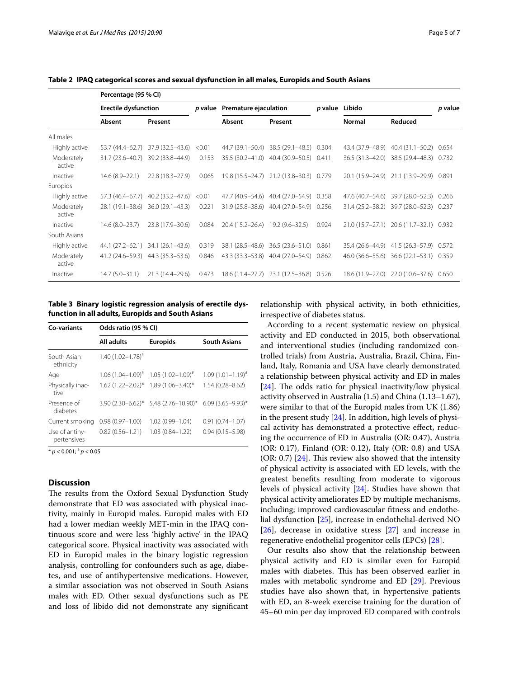|                      | Percentage (95 % CI)        |                                   |        |                                      |                                         |                |                     |                                         |         |
|----------------------|-----------------------------|-----------------------------------|--------|--------------------------------------|-----------------------------------------|----------------|---------------------|-----------------------------------------|---------|
|                      | <b>Erectile dysfunction</b> |                                   |        | <i>p</i> value Premature ejaculation |                                         | p value Libido |                     |                                         | p value |
|                      | Absent                      | Present                           |        | Absent                               | Present                                 |                | <b>Normal</b>       | Reduced                                 |         |
| All males            |                             |                                   |        |                                      |                                         |                |                     |                                         |         |
| Highly active        | 53.7 (44.4–62.7)            | 37.9 (32.5 - 43.6)                | < 0.01 | 44.7 (39.1–50.4)                     | 38.5 (29.1–48.5)                        | 0.304          | 43.4 (37.9–48.9)    | $40.4(31.1 - 50.2)$                     | 0.654   |
| Moderately<br>active | 31.7 (23.6–40.7)            | 39.2 (33.8-44.9)                  | 0.153  |                                      | 35.5 (30.2-41.0) 40.4 (30.9-50.5)       | 0.411          | $36.5(31.3 - 42.0)$ | 38.5 (29.4–48.3)                        | 0.732   |
| Inactive             | 14.6 (8.9 - 22.1)           | $22.8(18.3 - 27.9)$               | 0.065  |                                      | 19.8 (15.5-24.7) 21.2 (13.8-30.3) 0.779 |                | 20.1 (15.9–24.9)    | 21.1 (13.9–29.9)                        | 0.891   |
| Europids             |                             |                                   |        |                                      |                                         |                |                     |                                         |         |
| Highly active        |                             | 57.3 (46.4–67.7) 40.2 (33.2–47.6) | < 0.01 |                                      | 47.7 (40.9–54.6) 40.4 (27.0–54.9)       | 0.358          | 47.6 (40.7-54.6)    | 39.7 (28.0-52.3)                        | 0.266   |
| Moderately<br>active |                             | 28.1 (19.1–38.6) 36.0 (29.1–43.3) | 0.221  |                                      | 31.9 (25.8-38.6) 40.4 (27.0-54.9) 0.256 |                | 31.4 (25.2–38.2)    | 39.7 (28.0-52.3) 0.237                  |         |
| Inactive             | $14.6(8.0-23.7)$            | 23.8 (17.9 - 30.6)                | 0.084  | $20.4(15.2 - 26.4)$                  | 19.2 (9.6–32.5)                         | 0.924          | $21.0(15.7 - 27.1)$ | $20.6(11.7 - 32.1)$                     | 0.932   |
| South Asians         |                             |                                   |        |                                      |                                         |                |                     |                                         |         |
| Highly active        |                             | 44.1 (27.2-62.1) 34.1 (26.1-43.6) | 0.319  | 38.1 (28.5–48.6)                     | 36.5 (23.6–51.0)                        | 0.861          | 35.4 (26.6–44.9)    | $41.5(26.3 - 57.9)$                     | 0.572   |
| Moderately<br>active |                             | 41.2 (24.6–59.3) 44.3 (35.3–53.6) | 0.846  |                                      | 43.3 (33.3–53.8) 40.4 (27.0–54.9) 0.862 |                |                     | 46.0 (36.6–55.6) 36.6 (22.1–53.1) 0.359 |         |
| Inactive             | $14.7(5.0 - 31.1)$          | 21.3 (14.4–29.6)                  | 0.473  | 18.6 (11.4–27.7)                     | 23.1 (12.5-36.8) 0.526                  |                | 18.6 (11.9-27.0)    | $22.0(10.6 - 37.6)$                     | 0.650   |

<span id="page-4-0"></span>**Table 2 IPAQ categorical scores and sexual dysfunction in all males, Europids and South Asians**

<span id="page-4-1"></span>**Table 3 Binary logistic regression analysis of erectile dysfunction in all adults, Europids and South Asians**

| Co-variants                   | Odds ratio (95 % CI)     |                                                    |                          |  |  |  |  |  |
|-------------------------------|--------------------------|----------------------------------------------------|--------------------------|--|--|--|--|--|
|                               | All adults               | <b>Europids</b>                                    | <b>South Asians</b>      |  |  |  |  |  |
| South Asian<br>ethnicity      | $1.40(1.02 - 1.78)^{\#}$ |                                                    |                          |  |  |  |  |  |
| Age                           |                          | $1.06(1.04 - 1.09)^{\#}$ 1.05 $(1.02 - 1.09)^{\#}$ | $1.09(1.01 - 1.19)^{\#}$ |  |  |  |  |  |
| Physically inac-<br>tive      |                          | $1.62$ (1.22-2.02)* 1.89 (1.06-3.40)*              | $1.54(0.28 - 8.62)$      |  |  |  |  |  |
| Presence of<br>diabetes       |                          | $3.90(2.30-6.62)^*$ 5.48 $(2.76-10.90)^*$          | $6.09(3.65 - 9.93)^*$    |  |  |  |  |  |
| Current smoking               | $0.98(0.97 - 1.00)$      | $1.02(0.99 - 1.04)$                                | $0.91(0.74 - 1.07)$      |  |  |  |  |  |
| Use of antihy-<br>pertensives | $0.82(0.56 - 1.21)$      | $1.03(0.84 - 1.22)$                                | $0.94(0.15 - 5.98)$      |  |  |  |  |  |
|                               |                          |                                                    |                          |  |  |  |  |  |

\* *p* < 0.001; # *p* < 0.05

#### **Discussion**

The results from the Oxford Sexual Dysfunction Study demonstrate that ED was associated with physical inactivity, mainly in Europid males. Europid males with ED had a lower median weekly MET-min in the IPAQ continuous score and were less 'highly active' in the IPAQ categorical score. Physical inactivity was associated with ED in Europid males in the binary logistic regression analysis, controlling for confounders such as age, diabetes, and use of antihypertensive medications. However, a similar association was not observed in South Asians males with ED. Other sexual dysfunctions such as PE and loss of libido did not demonstrate any significant relationship with physical activity, in both ethnicities, irrespective of diabetes status.

According to a recent systematic review on physical activity and ED conducted in 2015, both observational and interventional studies (including randomized controlled trials) from Austria, Australia, Brazil, China, Finland, Italy, Romania and USA have clearly demonstrated a relationship between physical activity and ED in males [[24\]](#page-6-8). The odds ratio for physical inactivity/low physical activity observed in Australia (1.5) and China (1.13–1.67), were similar to that of the Europid males from UK (1.86) in the present study [[24](#page-6-8)]. In addition, high levels of physical activity has demonstrated a protective effect, reducing the occurrence of ED in Australia (OR: 0.47), Austria (OR: 0.17), Finland (OR: 0.12), Italy (OR: 0.8) and USA (OR: 0.7) [[24\]](#page-6-8). This review also showed that the intensity of physical activity is associated with ED levels, with the greatest benefits resulting from moderate to vigorous levels of physical activity [[24](#page-6-8)]. Studies have shown that physical activity ameliorates ED by multiple mechanisms, including; improved cardiovascular fitness and endothelial dysfunction [[25](#page-6-9)], increase in endothelial-derived NO [[26\]](#page-6-10), decrease in oxidative stress [\[27\]](#page-6-11) and increase in regenerative endothelial progenitor cells (EPCs) [[28\]](#page-6-12).

Our results also show that the relationship between physical activity and ED is similar even for Europid males with diabetes. This has been observed earlier in males with metabolic syndrome and ED [[29\]](#page-6-13). Previous studies have also shown that, in hypertensive patients with ED, an 8-week exercise training for the duration of 45–60 min per day improved ED compared with controls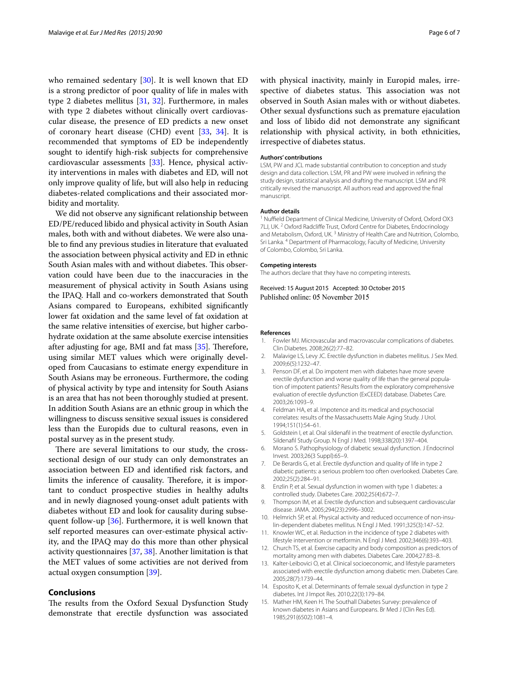who remained sedentary [\[30\]](#page-6-14). It is well known that ED is a strong predictor of poor quality of life in males with type 2 diabetes mellitus [[31,](#page-6-15) [32](#page-6-16)]. Furthermore, in males with type 2 diabetes without clinically overt cardiovascular disease, the presence of ED predicts a new onset of coronary heart disease (CHD) event [[33](#page-6-17), [34](#page-6-18)]. It is recommended that symptoms of ED be independently sought to identify high-risk subjects for comprehensive cardiovascular assessments [[33](#page-6-17)]. Hence, physical activity interventions in males with diabetes and ED, will not only improve quality of life, but will also help in reducing diabetes-related complications and their associated morbidity and mortality.

We did not observe any significant relationship between ED/PE/reduced libido and physical activity in South Asian males, both with and without diabetes. We were also unable to find any previous studies in literature that evaluated the association between physical activity and ED in ethnic South Asian males with and without diabetes. This observation could have been due to the inaccuracies in the measurement of physical activity in South Asians using the IPAQ. Hall and co-workers demonstrated that South Asians compared to Europeans, exhibited significantly lower fat oxidation and the same level of fat oxidation at the same relative intensities of exercise, but higher carbohydrate oxidation at the same absolute exercise intensities after adjusting for age, BMI and fat mass [[35\]](#page-6-19). Therefore, using similar MET values which were originally developed from Caucasians to estimate energy expenditure in South Asians may be erroneous. Furthermore, the coding of physical activity by type and intensity for South Asians is an area that has not been thoroughly studied at present. In addition South Asians are an ethnic group in which the willingness to discuss sensitive sexual issues is considered less than the Europids due to cultural reasons, even in postal survey as in the present study.

There are several limitations to our study, the crosssectional design of our study can only demonstrates an association between ED and identified risk factors, and limits the inference of causality. Therefore, it is important to conduct prospective studies in healthy adults and in newly diagnosed young-onset adult patients with diabetes without ED and look for causality during subsequent follow-up  $[36]$  $[36]$ . Furthermore, it is well known that self reported measures can over-estimate physical activity, and the IPAQ may do this more than other physical activity questionnaires [\[37](#page-6-21), [38\]](#page-6-22). Another limitation is that the MET values of some activities are not derived from actual oxygen consumption [\[39\]](#page-6-23).

## **Conclusions**

The results from the Oxford Sexual Dysfunction Study demonstrate that erectile dysfunction was associated with physical inactivity, mainly in Europid males, irrespective of diabetes status. This association was not observed in South Asian males with or without diabetes. Other sexual dysfunctions such as premature ejaculation and loss of libido did not demonstrate any significant relationship with physical activity, in both ethnicities, irrespective of diabetes status.

#### **Authors' contributions**

LSM, PW and JCL made substantial contribution to conception and study design and data collection. LSM, PR and PW were involved in refining the study design, statistical analysis and drafting the manuscript. LSM and PR critically revised the manuscript. All authors read and approved the final manuscript.

#### **Author details**

<sup>1</sup> Nuffield Department of Clinical Medicine, University of Oxford, Oxford OX3 7LJ, UK.<sup>2</sup> Oxford Radcliffe Trust, Oxford Centre for Diabetes, Endocrinology and Metabolism, Oxford, UK.<sup>3</sup> Ministry of Health Care and Nutrition, Colombo, Sri Lanka. 4 Department of Pharmacology, Faculty of Medicine, University of Colombo, Colombo, Sri Lanka.

#### **Competing interests**

The authors declare that they have no competing interests.

Received: 15 August 2015 Accepted: 30 October 2015 Published online: 05 November 2015

#### **References**

- <span id="page-5-0"></span>1. Fowler MJ. Microvascular and macrovascular complications of diabetes. Clin Diabetes. 2008;26(2):77–82.
- <span id="page-5-1"></span>2. Malavige LS, Levy JC. Erectile dysfunction in diabetes mellitus. J Sex Med. 2009;6(5):1232–47.
- <span id="page-5-2"></span>3. Penson DF, et al. Do impotent men with diabetes have more severe erectile dysfunction and worse quality of life than the general population of impotent patients? Results from the exploratory comprehensive evaluation of erectile dysfunction (ExCEED) database. Diabetes Care. 2003;26:1093–9.
- 4. Feldman HA, et al. Impotence and its medical and psychosocial correlates: results of the Massachusetts Male Aging Study. J Urol. 1994;151(1):54–61.
- <span id="page-5-3"></span>5. Goldstein I, et al. Oral sildenafil in the treatment of erectile dysfunction. Sildenafil Study Group. N Engl J Med. 1998;338(20):1397–404.
- <span id="page-5-4"></span>6. Morano S. Pathophysiology of diabetic sexual dysfunction. J Endocrinol Invest. 2003;26(3 Suppl):65–9.
- <span id="page-5-5"></span>7. De Berardis G, et al. Erectile dysfunction and quality of life in type 2 diabetic patients: a serious problem too often overlooked. Diabetes Care. 2002;25(2):284–91.
- <span id="page-5-6"></span>8. Enzlin P, et al. Sexual dysfunction in women with type 1 diabetes: a controlled study. Diabetes Care. 2002;25(4):672–7.
- <span id="page-5-7"></span>9. Thompson IM, et al. Erectile dysfunction and subsequent cardiovascular disease. JAMA. 2005;294(23):2996–3002.
- <span id="page-5-8"></span>10. Helmrich SP, et al. Physical activity and reduced occurrence of non-insulin-dependent diabetes mellitus. N Engl J Med. 1991;325(3):147–52.
- <span id="page-5-9"></span>11. Knowler WC, et al. Reduction in the incidence of type 2 diabetes with lifestyle intervention or metformin. N Engl J Med. 2002;346(6):393–403.
- <span id="page-5-10"></span>12. Church TS, et al. Exercise capacity and body composition as predictors of mortality among men with diabetes. Diabetes Care. 2004;27:83–8.
- <span id="page-5-11"></span>13. Kalter-Leibovici O, et al. Clinical socioeconomic, and lifestyle parameters associated with erectile dysfunction among diabetic men. Diabetes Care. 2005;28(7):1739–44.
- <span id="page-5-12"></span>14. Esposito K, et al. Determinants of female sexual dysfunction in type 2 diabetes. Int J Impot Res. 2010;22(3):179–84.
- <span id="page-5-13"></span>15. Mather HM, Keen H. The Southall Diabetes Survey: prevalence of known diabetes in Asians and Europeans. Br Med J (Clin Res Ed). 1985;291(6502):1081–4.